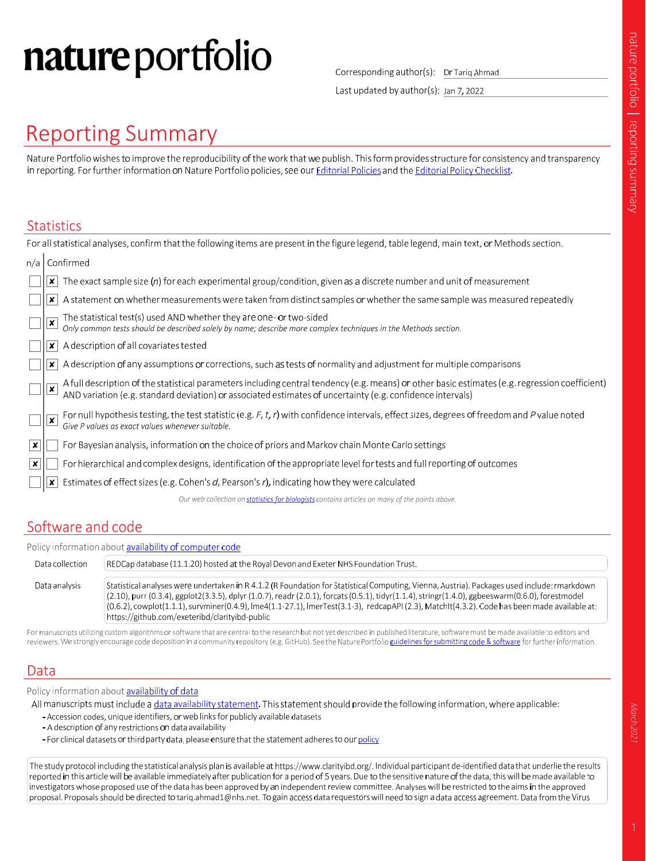# **nature** portfolio

Corresponding author(s): Dr Tariq Ahmad

Last updated by author(s): Jan 7, 2022

# **Reporting Summary**

Nature Portfolio wishes to improve the reproducibility of the work that we publish. This form provides structure for consistency and transparency in reporting. For further information on Nature Portfolio policies, see our Editorial Policies and the Editorial Policy Checklist.

#### **Statistics**

| For all statistical analyses, confirm that the following items are present in the figure legend, table legend, main text, or Methods section. |           |                                                                                                                                                                                                                                   |  |  |
|-----------------------------------------------------------------------------------------------------------------------------------------------|-----------|-----------------------------------------------------------------------------------------------------------------------------------------------------------------------------------------------------------------------------------|--|--|
| n/a                                                                                                                                           | Confirmed |                                                                                                                                                                                                                                   |  |  |
|                                                                                                                                               |           | The exact sample size $(n)$ for each experimental group/condition, given as a discrete number and unit of measurement                                                                                                             |  |  |
|                                                                                                                                               |           | A statement on whether measurements were taken from distinct samples or whether the same sample was measured repeatedly                                                                                                           |  |  |
|                                                                                                                                               |           | The statistical test(s) used AND whether they are one- or two-sided<br>Only common tests should be described solely by name; describe more complex techniques in the Methods section.                                             |  |  |
|                                                                                                                                               |           | A description of all covariates tested                                                                                                                                                                                            |  |  |
|                                                                                                                                               |           | A description of any assumptions or corrections, such as tests of normality and adjustment for multiple comparisons                                                                                                               |  |  |
|                                                                                                                                               |           | A full description of the statistical parameters including central tendency (e.g. means) or other basic estimates (e.g. regression coefficient)<br>AND variation (e.g. standard deviation) or associated estimates of uncertainty |  |  |
|                                                                                                                                               |           | For null hypothesis testing, the test statistic (e.g. F, t, r) with confidence intervals, effect sizes, degrees of freedom and P value noted<br>Give P values as exact values whenever suitable.                                  |  |  |
| x                                                                                                                                             |           | For Bayesian analysis, information on the choice of priors and Markov chain Monte Carlo settings                                                                                                                                  |  |  |
| ×                                                                                                                                             |           | For hierarchical and complex designs, identification of the appropriate level for tests and full reporting of outcomes                                                                                                            |  |  |
|                                                                                                                                               |           | Estimates of effect sizes (e.g. Cohen's d, Pearson's r), indicating how they were calculated                                                                                                                                      |  |  |
|                                                                                                                                               |           | Our web collection on statistics for biologists contains articles on many of the points above.                                                                                                                                    |  |  |
|                                                                                                                                               |           |                                                                                                                                                                                                                                   |  |  |

### Software and code

| Policy information about availability of computer code |                                                                                                                                                                                                                                                                                                                                                                                                                                                                                                                                 |  |  |  |
|--------------------------------------------------------|---------------------------------------------------------------------------------------------------------------------------------------------------------------------------------------------------------------------------------------------------------------------------------------------------------------------------------------------------------------------------------------------------------------------------------------------------------------------------------------------------------------------------------|--|--|--|
| Data collection                                        | REDCap database (11.1.20) hosted at the Royal Devon and Exeter NHS Foundation Trust.                                                                                                                                                                                                                                                                                                                                                                                                                                            |  |  |  |
| Data analysis                                          | Statistical analyses were undertaken in R4.1.2 (R Foundation for Statistical Computing, Vienna, Austria). Packages used include: rmarkdown<br>$(2.10)$ , purr (0.3.4), ggplot2(3.3.5), dplyr (1.0.7), readr (2.0.1), forcats (0.5.1), tidyr(1.1.4), stringr(1.4.0), ggbeeswarm(0.6.0), forestmodel<br>$(0.6.2)$ , cowplot $(1.1.1)$ , survminer $(0.4.9)$ , lme4 $(1.1-27.1)$ , lmerTest $(3.1-3)$ , redcapAPI $(2.3)$ , MatchIt $(4.3.2)$ . Code has been made available at:<br>https://github.com/exeteribd/clarityibd-public |  |  |  |

For manuscripts utilizing custom algorithms or software that are central to the research but not yet described in published literature, software must be made available to editors and reviewers. We strongly encourage code deposition in a community repository (e.g. GitHub). See the Nature Portfolio guidelines for submitting code & software for further information.

#### Data

Policy information about availability of data

All manuscripts must include a *data availability statement*. This statement should provide the following information, where applicable:

- Accession codes, unique identifiers, or web links for publicly available datasets
- A description of any restrictions on data availability
- For clinical datasets or third party data, please ensure that the statement adheres to our policy

The study protocol including the statistical analysis plan is available at https://www.clarityibd.org/. Individual participant de-identified data that underlie the results reported in this article will be available immediately after publication for a period of 5 years. Due to the sensitive nature of the data, this will be made available to investigators whose proposed use of the data has been approved by an independent review committee. Analyses will be restricted to the aims in the approved proposal. Proposals should be directed to tariq.ahmad1@nhs.net. To gain access data requestors will need to sign a data access agreement. Data from the Virus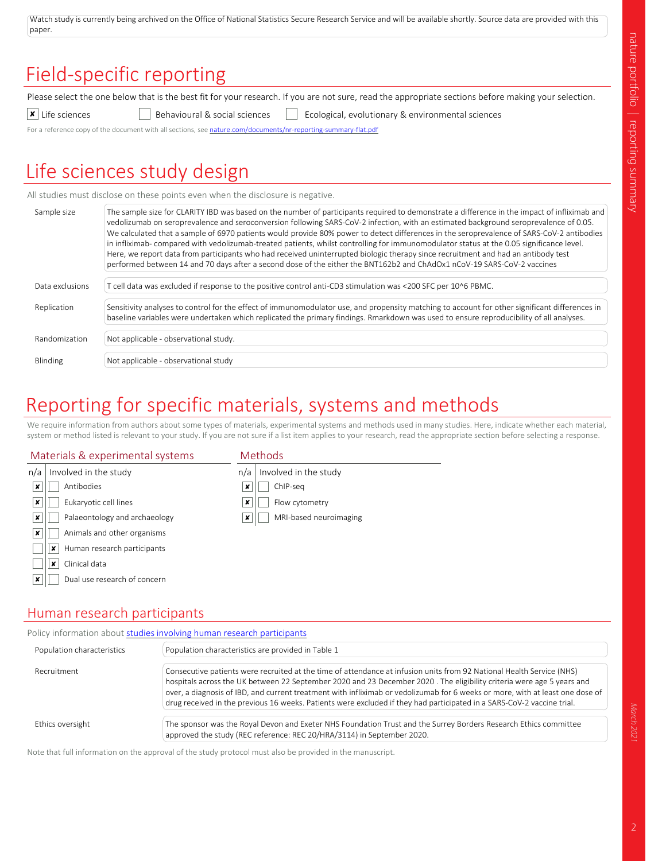Watch study is currently being archived on the Office of National Statistics Secure Research Service and will be available shortly. Source data are provided with this paper.

# Field-specific reporting

Please select the one below that is the best fit for your research. If you are not sure, read the appropriate sections before making your selection.

 $\boxed{\textbf{x}}$  Life sciences **EX** Behavioural & social sciences **EX** Ecological, evolutionary & environmental sciences

For a reference copy of the document with all sections, see nature.com/documents/nr-reporting-summary-flat.pdf

# Life sciences study design

All studies must disclose on these points even when the disclosure is negative.

| Sample size     | The sample size for CLARITY IBD was based on the number of participants required to demonstrate a difference in the impact of infliximab and<br>vedolizumab on seroprevalence and seroconversion following SARS-CoV-2 infection, with an estimated background seroprevalence of 0.05.<br>We calculated that a sample of 6970 patients would provide 80% power to detect differences in the seroprevalence of SARS-CoV-2 antibodies<br>in infliximab- compared with vedolizumab-treated patients, whilst controlling for immunomodulator status at the 0.05 significance level.<br>Here, we report data from participants who had received uninterrupted biologic therapy since recruitment and had an antibody test<br>performed between 14 and 70 days after a second dose of the either the BNT162b2 and ChAdOx1 nCoV-19 SARS-CoV-2 vaccines |
|-----------------|------------------------------------------------------------------------------------------------------------------------------------------------------------------------------------------------------------------------------------------------------------------------------------------------------------------------------------------------------------------------------------------------------------------------------------------------------------------------------------------------------------------------------------------------------------------------------------------------------------------------------------------------------------------------------------------------------------------------------------------------------------------------------------------------------------------------------------------------|
| Data exclusions | T cell data was excluded if response to the positive control anti-CD3 stimulation was <200 SFC per 10^6 PBMC.                                                                                                                                                                                                                                                                                                                                                                                                                                                                                                                                                                                                                                                                                                                                  |
| Replication     | Sensitivity analyses to control for the effect of immunomodulator use, and propensity matching to account for other significant differences in<br>baseline variables were undertaken which replicated the primary findings. Rmarkdown was used to ensure reproducibility of all analyses.                                                                                                                                                                                                                                                                                                                                                                                                                                                                                                                                                      |
| Randomization   | Not applicable - observational study.                                                                                                                                                                                                                                                                                                                                                                                                                                                                                                                                                                                                                                                                                                                                                                                                          |
| Blinding        | Not applicable - observational study                                                                                                                                                                                                                                                                                                                                                                                                                                                                                                                                                                                                                                                                                                                                                                                                           |

# Reporting for specific materials, systems and methods

We require information from authors about some types of materials, experimental systems and methods used in many studies. Here, indicate whether each material, system or method listed is relevant to your study. If you are not sure if a list item applies to your research, read the appropriate section before selecting a response.

#### Materials & experimental systems

| Methods |  |
|---------|--|
|         |  |

| n/a | Involved in the study            | n/a | Involved in the study  |
|-----|----------------------------------|-----|------------------------|
| ×   | Antibodies                       | ×   | ChIP-sea               |
| ×   | Eukaryotic cell lines            | ×   | Flow cytometry         |
| ×   | Palaeontology and archaeology    | ×   | MRI-based neuroimaging |
| ×   | Animals and other organisms      |     |                        |
|     | Human research participants<br>x |     |                        |
|     | Clinical data<br>x               |     |                        |

#### Human research participants

Dual use research of concern

 $\overline{\mathbf{x}}$ 

| Policy information about studies involving human research participants |                                                                                                                                                                                                                                                                                                                                                                                                                                                                                                           |  |  |
|------------------------------------------------------------------------|-----------------------------------------------------------------------------------------------------------------------------------------------------------------------------------------------------------------------------------------------------------------------------------------------------------------------------------------------------------------------------------------------------------------------------------------------------------------------------------------------------------|--|--|
| Population characteristics                                             | Population characteristics are provided in Table 1                                                                                                                                                                                                                                                                                                                                                                                                                                                        |  |  |
| Recruitment                                                            | Consecutive patients were recruited at the time of attendance at infusion units from 92 National Health Service (NHS)<br>hospitals across the UK between 22 September 2020 and 23 December 2020. The eligibility criteria were age 5 years and<br>over, a diagnosis of IBD, and current treatment with infliximab or vedolizumab for 6 weeks or more, with at least one dose of<br>drug received in the previous 16 weeks. Patients were excluded if they had participated in a SARS-CoV-2 vaccine trial. |  |  |
| Ethics oversight                                                       | The sponsor was the Royal Devon and Exeter NHS Foundation Trust and the Surrey Borders Research Ethics committee<br>approved the study (REC reference: REC 20/HRA/3114) in September 2020.                                                                                                                                                                                                                                                                                                                |  |  |

Note that full information on the approval of the study protocol must also be provided in the manuscript.